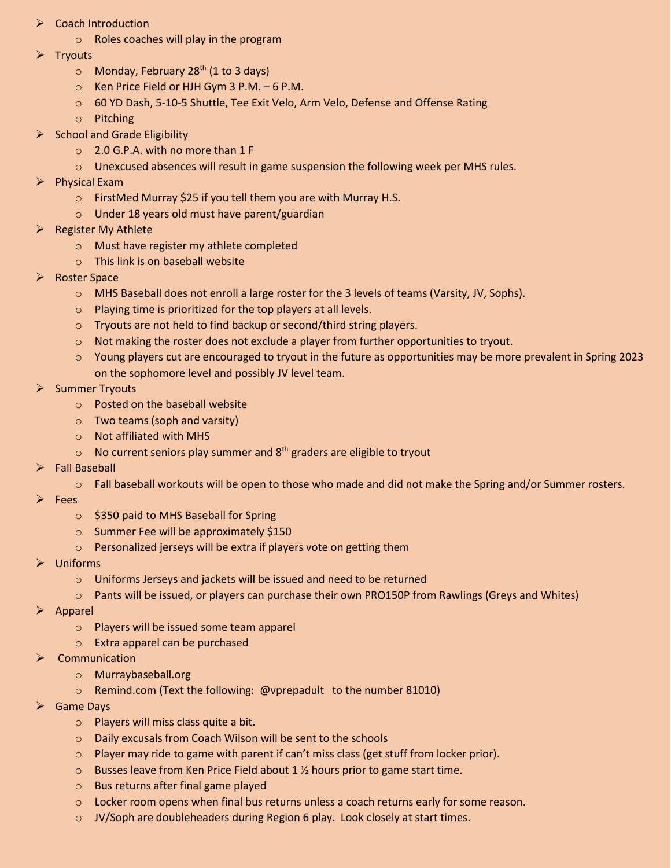- ➢ Coach Introduction
	- o Roles coaches will play in the program
- **Tryouts** 
	- $\circ$  Monday, February 28<sup>th</sup> (1 to 3 days)
	- o Ken Price Field or HJH Gym 3 P.M. 6 P.M.
	- 60 YD Dash, 5-10-5 Shuttle, Tee Exit Velo, Arm Velo, Defense and Offense Rating
	- o Pitching
- $\triangleright$  School and Grade Eligibility
	- o 2.0 G.P.A. with no more than 1 F
	- $\circ$  Unexcused absences will result in game suspension the following week per MHS rules.
- ➢ Physical Exam
	- o FirstMed Murray \$25 if you tell them you are with Murray H.S.
	- o Under 18 years old must have parent/guardian
- ➢ Register My Athlete
	- o Must have register my athlete completed
	- o This link is on baseball website
- ➢ Roster Space
	- o MHS Baseball does not enroll a large roster for the 3 levels of teams (Varsity, JV, Sophs).
	- o Playing time is prioritized for the top players at all levels.
	- o Tryouts are not held to find backup or second/third string players.
	- o Not making the roster does not exclude a player from further opportunities to tryout.
	- $\circ$  Young players cut are encouraged to tryout in the future as opportunities may be more prevalent in Spring 2023 on the sophomore level and possibly JV level team.
- ➢ Summer Tryouts
	- o Posted on the baseball website
	- o Two teams (soph and varsity)
	- o Not affiliated with MHS
	- $\circ$  No current seniors play summer and 8<sup>th</sup> graders are eligible to tryout
- ➢ Fall Baseball
	- o Fall baseball workouts will be open to those who made and did not make the Spring and/or Summer rosters.
- ➢ Fees
	- o \$350 paid to MHS Baseball for Spring
	- o Summer Fee will be approximately \$150
	- o Personalized jerseys will be extra if players vote on getting them
- ➢ Uniforms
	- o Uniforms Jerseys and jackets will be issued and need to be returned
	- o Pants will be issued, or players can purchase their own PRO150P from Rawlings (Greys and Whites)
- ➢ Apparel
	- o Players will be issued some team apparel
	- o Extra apparel can be purchased
- **Communication** 
	- o Murraybaseball.org
	- o Remind.com (Text the following: @vprepadult to the number 81010)
- ➢ Game Days
	- o Players will miss class quite a bit.
	- o Daily excusals from Coach Wilson will be sent to the schools
	- o Player may ride to game with parent if can't miss class (get stuff from locker prior).
	- $\circ$  Busses leave from Ken Price Field about 1  $\frac{1}{2}$  hours prior to game start time.
	- o Bus returns after final game played
	- o Locker room opens when final bus returns unless a coach returns early for some reason.
	- o JV/Soph are doubleheaders during Region 6 play. Look closely at start times.